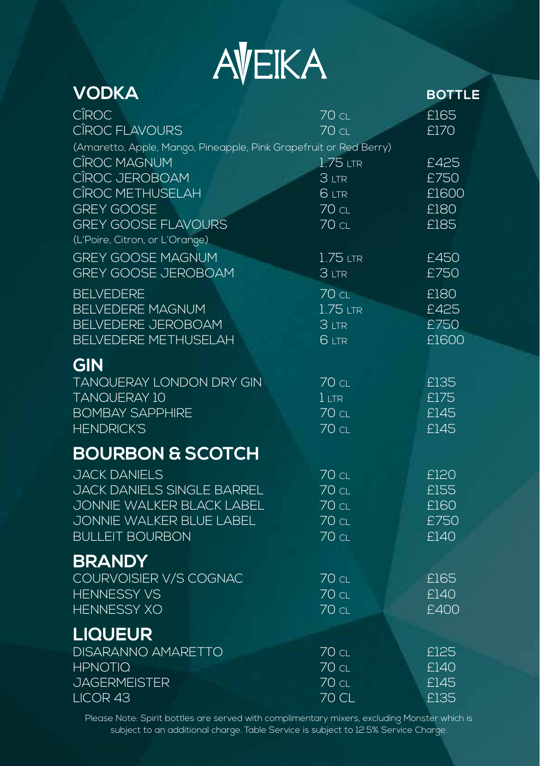

| VODKA                                                             |              | <b>BOTTLE</b> |
|-------------------------------------------------------------------|--------------|---------------|
| <b>CÎROC</b>                                                      | <b>70 CL</b> | £165          |
| <b>CÎROC FLAVOURS</b>                                             | <b>70 CL</b> | £170          |
| (Amaretto, Apple, Mango, Pineapple, Pink Grapefruit or Red Berry) |              |               |
| CÎROC MAGNUM                                                      | 1.75 LTR     | £425          |
| CÎROC JEROBOAM                                                    | 3 LTR        | £750          |
| CÎROC METHUSELAH                                                  | 6 LTR        | £1600         |
| <b>GREY GOOSE</b>                                                 | 70 CL        | £180          |
| <b>GREY GOOSE FLAVOURS</b><br>(L'Poire, Citron, or L'Orange)      | 70 CL        | £185          |
| <b>GREY GOOSE MAGNUM</b>                                          | 1.75 LTR     | £450          |
| <b>GREY GOOSE JEROBOAM</b>                                        | 3 LTR        | £750          |
| <b>BELVEDERE</b>                                                  | <b>70 CL</b> | £180          |
| BELVEDERE MAGNUM                                                  | $1.75$ LTR   | £425          |
| <b>BELVEDERE JEROBOAM</b>                                         | 3 LTR        | £750          |
| <b>BELVEDERE METHUSELAH</b>                                       | 6 LTR        | £1600         |
| <b>GIN</b>                                                        |              |               |
| <b>TANQUERAY LONDON DRY GIN</b>                                   | <b>70 CL</b> | £135          |
| <b>TANQUERAY 10</b>                                               | $l$ LTR      | £175          |
| <b>BOMBAY SAPPHIRE</b>                                            | <b>70 CL</b> | £145          |
| <b>HENDRICK'S</b>                                                 | <b>70 CL</b> | £145          |
| <b>BOURBON &amp; SCOTCH</b>                                       |              |               |
| <b>JACK DANIELS</b>                                               | 70 CL        | £120          |
| JACK DANIELS SINGLE BARREL                                        | 70 CL        | £155          |
| JONNIE WALKER BLACK LABEL                                         | <b>70 CL</b> | £160          |
| JONNIE WALKER BLUE LABEL                                          | <b>70 CL</b> | £750          |
| <b>BULLEIT BOURBON</b>                                            | <b>70 CL</b> | £140          |
| <b>BRANDY</b>                                                     |              |               |
| COURVOISIER V/S COGNAC                                            | <b>70 CL</b> | £165          |
| <b>HENNESSY VS</b>                                                | <b>70 CL</b> | £140          |
| <b>HENNESSY XO</b>                                                | <b>70 CL</b> | £400          |
| <b>LIQUEUR</b>                                                    |              |               |
| <b>DISARANNO AMARETTO</b>                                         | <b>70 CL</b> | £125          |
| <b>HPNOTIQ</b>                                                    | <b>70 CL</b> | £140          |
| <b>JAGERMEISTER</b>                                               | <b>70 CL</b> | £145          |
| LICOR 43                                                          | $70$ CL      | £135          |

Please Note: Spirit bottles are served with complimentary mixers, excluding Monster which is subject to an additional charge. Table Service is subject to 12.5% Service Charge.